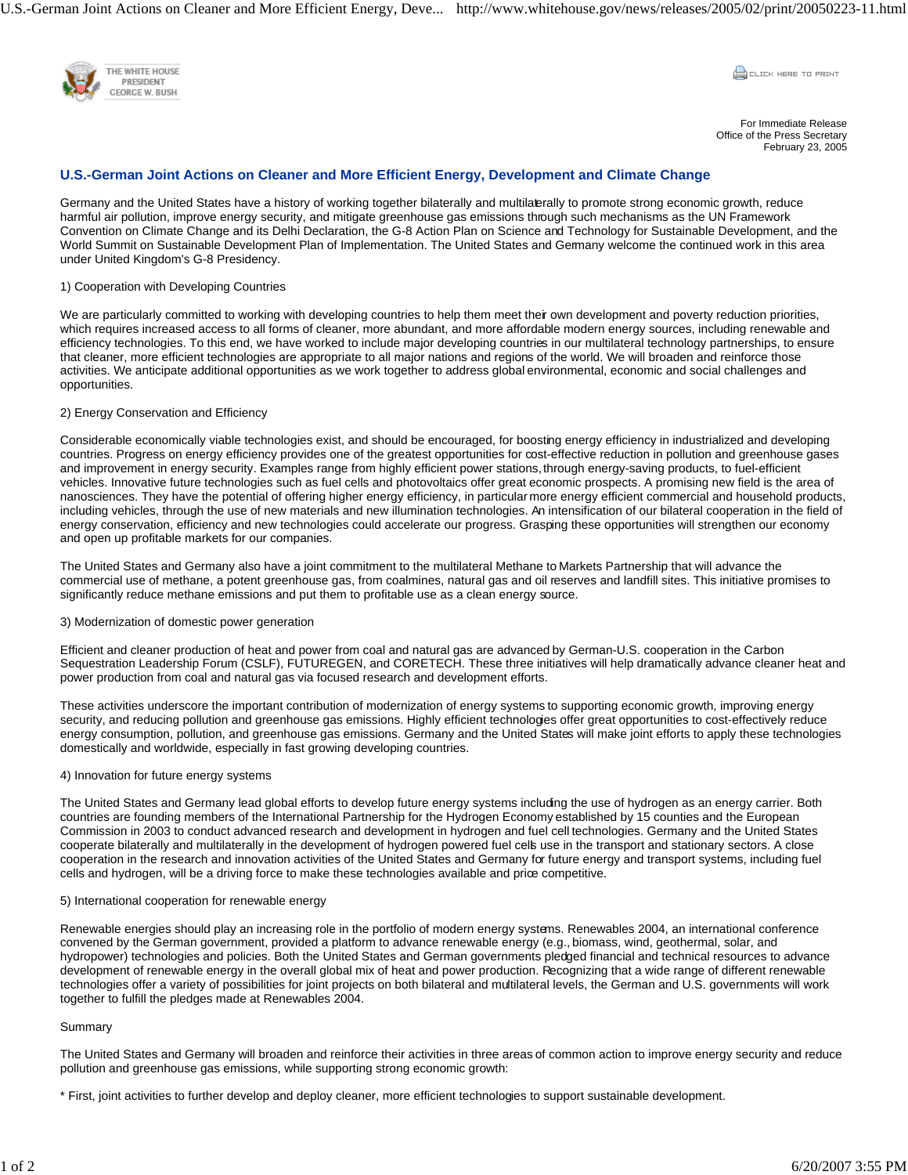U.S.-German Joint Actions on Cleaner and More Efficient Energy, Deve... http://www.whitehouse.gov/news/releases/2005/02/print/20050223-11.html



**COLLEK HERE TO PRINT** 

For Immediate Release Office of the Press Secretary February 23, 2005

# **U.S.-German Joint Actions on Cleaner and More Efficient Energy, Development and Climate Change**

Germany and the United States have a history of working together bilaterally and multilaterally to promote strong economic growth, reduce harmful air pollution, improve energy security, and mitigate greenhouse gas emissions through such mechanisms as the UN Framework Convention on Climate Change and its Delhi Declaration, the G-8 Action Plan on Science and Technology for Sustainable Development, and the World Summit on Sustainable Development Plan of Implementation. The United States and Germany welcome the continued work in this area under United Kingdom's G-8 Presidency.

## 1) Cooperation with Developing Countries

We are particularly committed to working with developing countries to help them meet their own development and poverty reduction priorities, which requires increased access to all forms of cleaner, more abundant, and more affordable modern energy sources, including renewable and efficiency technologies. To this end, we have worked to include major developing countries in our multilateral technology partnerships, to ensure that cleaner, more efficient technologies are appropriate to all major nations and regions of the world. We will broaden and reinforce those activities. We anticipate additional opportunities as we work together to address global environmental, economic and social challenges and opportunities.

### 2) Energy Conservation and Efficiency

Considerable economically viable technologies exist, and should be encouraged, for boosting energy efficiency in industrialized and developing countries. Progress on energy efficiency provides one of the greatest opportunities for cost-effective reduction in pollution and greenhouse gases and improvement in energy security. Examples range from highly efficient power stations, through energy-saving products, to fuel-efficient vehicles. Innovative future technologies such as fuel cells and photovoltaics offer great economic prospects. A promising new field is the area of nanosciences. They have the potential of offering higher energy efficiency, in particular more energy efficient commercial and household products, including vehicles, through the use of new materials and new illumination technologies. An intensification of our bilateral cooperation in the field of energy conservation, efficiency and new technologies could accelerate our progress. Grasping these opportunities will strengthen our economy and open up profitable markets for our companies.

The United States and Germany also have a joint commitment to the multilateral Methane to Markets Partnership that will advance the commercial use of methane, a potent greenhouse gas, from coalmines, natural gas and oil reserves and landfill sites. This initiative promises to significantly reduce methane emissions and put them to profitable use as a clean energy source.

#### 3) Modernization of domestic power generation

Efficient and cleaner production of heat and power from coal and natural gas are advanced by German-U.S. cooperation in the Carbon Sequestration Leadership Forum (CSLF), FUTUREGEN, and CORETECH. These three initiatives will help dramatically advance cleaner heat and power production from coal and natural gas via focused research and development efforts.

These activities underscore the important contribution of modernization of energy systems to supporting economic growth, improving energy security, and reducing pollution and greenhouse gas emissions. Highly efficient technologies offer great opportunities to cost-effectively reduce energy consumption, pollution, and greenhouse gas emissions. Germany and the United States will make joint efforts to apply these technologies domestically and worldwide, especially in fast growing developing countries.

#### 4) Innovation for future energy systems

The United States and Germany lead global efforts to develop future energy systems including the use of hydrogen as an energy carrier. Both countries are founding members of the International Partnership for the Hydrogen Economy established by 15 counties and the European Commission in 2003 to conduct advanced research and development in hydrogen and fuel cell technologies. Germany and the United States cooperate bilaterally and multilaterally in the development of hydrogen powered fuel cells use in the transport and stationary sectors. A close cooperation in the research and innovation activities of the United States and Germany for future energy and transport systems, including fuel cells and hydrogen, will be a driving force to make these technologies available and price competitive.

#### 5) International cooperation for renewable energy

Renewable energies should play an increasing role in the portfolio of modern energy systems. Renewables 2004, an international conference convened by the German government, provided a platform to advance renewable energy (e.g., biomass, wind, geothermal, solar, and hydropower) technologies and policies. Both the United States and German governments pledged financial and technical resources to advance development of renewable energy in the overall global mix of heat and power production. Recognizing that a wide range of different renewable technologies offer a variety of possibilities for joint projects on both bilateral and multilateral levels, the German and U.S. governments will work together to fulfill the pledges made at Renewables 2004.

## Summary

The United States and Germany will broaden and reinforce their activities in three areas of common action to improve energy security and reduce pollution and greenhouse gas emissions, while supporting strong economic growth:

\* First, joint activities to further develop and deploy cleaner, more efficient technologies to support sustainable development.